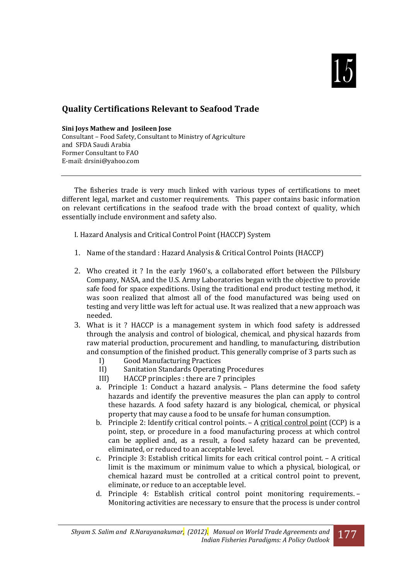

# **Quality Certifications Relevant to Seafood Trade**

**Sini Joys Mathew and Josileen Jose** Consultant – Food Safety, Consultant to Ministry of Agriculture and SFDA Saudi Arabia Former Consultant to FAO E-mail: drsini@yahoo.com

The fisheries trade is very much linked with various types of certifications to meet different legal, market and customer requirements. This paper contains basic information on relevant certifications in the seafood trade with the broad context of quality, which essentially include environment and safety also.

I. Hazard Analysis and Critical Control Point (HACCP) System

- 1. Name of the standard : Hazard Analysis & Critical Control Points (HACCP)
- 2. Who created it ? In the early 1960's, a collaborated effort between the Pillsbury Company, NASA, and the U.S. Army Laboratories began with the objective to provide safe food for space expeditions. Using the traditional end product testing method, it was soon realized that almost all of the food manufactured was being used on testing and very little was left for actual use. It was realized that a new approach was needed.
- 3. What is it ? HACCP is a management system in which food safety is addressed through the analysis and control of biological, chemical, and physical hazards from raw material production, procurement and handling, to manufacturing, distribution and consumption of the finished product. This generally comprise of 3 parts such as
	- I) Good Manufacturing Practices
	- II) Sanitation Standards Operating Procedures
	- III) HACCP principles : there are 7 principles
	- a. Principle 1: Conduct a hazard analysis. Plans determine the food safety hazards and identify the preventive measures the plan can apply to control these hazards. A food safety hazard is any biological, chemical, or physical property that may cause a food to be unsafe for human consumption.
	- b. Principle 2: Identify critical control points. A [critical control point](http://en.wikipedia.org/wiki/Critical_control_point) (CCP) is a point, step, or procedure in a food manufacturing process at which control can be applied and, as a result, a food safety hazard can be prevented, eliminated, or reduced to an acceptable level.
	- c. Principle 3: Establish critical limits for each critical control point. A critical limit is the maximum or minimum value to which a physical, biological, or chemical hazard must be controlled at a critical control point to prevent, eliminate, or reduce to an acceptable level.
	- d. Principle 4: Establish critical control point monitoring requirements. Monitoring activities are necessary to ensure that the process is under control

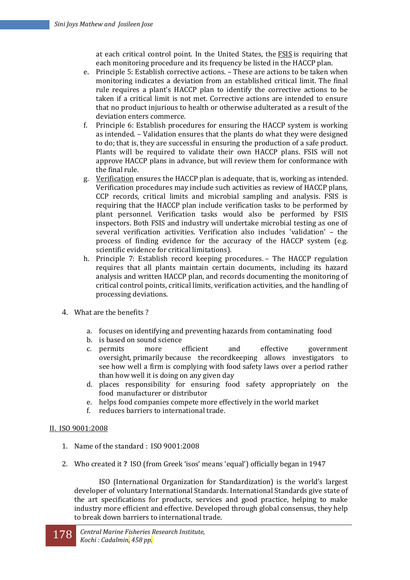at each critical control point. In the United States, the [FSIS](http://en.wikipedia.org/wiki/FSIS) is requiring that each monitoring procedure and its frequency be listed in the HACCP plan.

- e. Principle 5: Establish corrective actions. These are actions to be taken when monitoring indicates a deviation from an established critical limit. The final rule requires a plant's HACCP plan to identify the corrective actions to be taken if a critical limit is not met. Corrective actions are intended to ensure that no product injurious to health or otherwise adulterated as a result of the deviation enters commerce.
- f. Principle 6: Establish procedures for ensuring the HACCP system is working as intended. – Validation ensures that the plants do what they were designed to do; that is, they are successful in ensuring the production of a safe product. Plants will be required to validate their own HACCP plans. FSIS will not approve HACCP plans in advance, but will review them for conformance with the final rule.
- g. [Verification](http://en.wikipedia.org/wiki/Verification_and_validation) ensures the HACCP plan is adequate, that is, working as intended. Verification procedures may include such activities as review of HACCP plans, CCP records, critical limits and microbial sampling and analysis. FSIS is requiring that the HACCP plan include verification tasks to be performed by plant personnel. Verification tasks would also be performed by FSIS inspectors. Both FSIS and industry will undertake microbial testing as one of several verification activities. Verification also includes 'validation' – the process of finding evidence for the accuracy of the HACCP system (e.g. scientific evidence for critical limitations).
- h. Principle 7: Establish record keeping procedures. The HACCP regulation requires that all plants maintain certain documents, including its hazard analysis and written HACCP plan, and records documenting the monitoring of critical control points, critical limits, verification activities, and the handling of processing deviations.
- 4. What are the benefits ?
	- a. focuses on identifying and preventing hazards from contaminating food
	- b. is based on sound science
	- c. permits more efficient and effective government oversight, primarily because the recordkeeping allows investigators to see how well a firm is complying with food safety laws over a period rather than how well it is doing on any given day
	- d. places responsibility for ensuring food safety appropriately on the food manufacturer or distributor
	- e. helps food companies compete more effectively in the world market
	- f. reduces barriers to international trade.

#### II. ISO 9001:2008

- 1. Name of the standard : ISO 9001:2008
- 2. Who created it **?** ISO (from Greek 'isos' means 'equal') officially began in 1947

ISO (International Organization for Standardization) is the world's largest developer of voluntary International Standards. International Standards give state of the art specifications for products, services and good practice, helping to make industry more efficient and effective. Developed through global consensus, they help to break down barriers to international trade.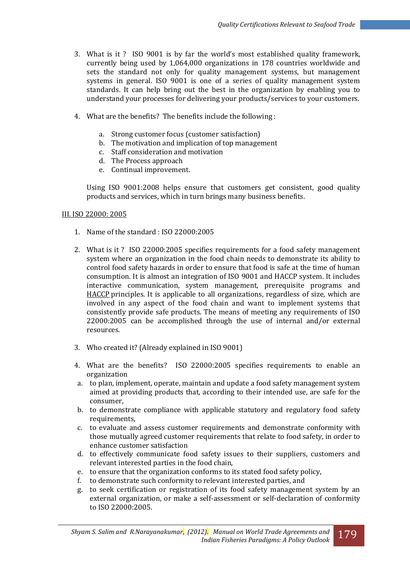- 3. What is it ? ISO 9001 is by far the world's most established quality framework, currently being used by 1,064,000 organizations in 178 countries worldwide and sets the standard not only for quality management systems, but management systems in general. ISO 9001 is one of a series of quality management system standards. It can help bring out the best in the organization by enabling you to understand your processes for delivering your products/services to your customers.
- 4. What are the benefits? The benefits include the following :
	- a. Strong customer focus (customer satisfaction)
	- b. The motivation and implication of top management
	- c. Staff consideration and motivation
	- d. The Process approach
	- e. Continual improvement.

Using ISO 9001:2008 helps ensure that customers get consistent, good quality products and services, which in turn brings many business benefits.

## III. ISO 22000: 2005

- 1. Name of the standard : ISO 22000:2005
- 2. What is it ? ISO 22000:2005 specifies requirements for a food safety management system where an organization in the food chain needs to demonstrate its ability to control food safety hazards in order to ensure that food is safe at the time of human consumption. It is almost an integration of ISO 9001 and HACCP system. It includes interactive communication, system management, prerequisite programs and [HACCP](http://en.wikipedia.org/wiki/HACCP) principles. It is applicable to all organizations, regardless of size, which are involved in any aspect of the food chain and want to implement systems that consistently provide safe products. The means of meeting any requirements of ISO 22000:2005 can be accomplished through the use of internal and/or external resources.
- 3. Who created it? (Already explained in ISO 9001)
- 4. What are the benefits? ISO 22000:2005 specifies requirements to enable an organization
- a. to plan, implement, operate, maintain and update a food safety management system aimed at providing products that, according to their intended use, are safe for the consumer,
- b. to demonstrate compliance with applicable statutory and regulatory food safety requirements,
- c. to evaluate and assess customer requirements and demonstrate conformity with those mutually agreed customer requirements that relate to food safety, in order to enhance customer satisfaction
- d. to effectively communicate food safety issues to their suppliers, customers and relevant interested parties in the food chain,
- e. to ensure that the organization conforms to its stated food safety policy,
- f. to demonstrate such conformity to relevant interested parties, and
- g. to seek certification or registration of its food safety management system by an external organization, or make a self-assessment or self-declaration of conformity to ISO 22000:2005.

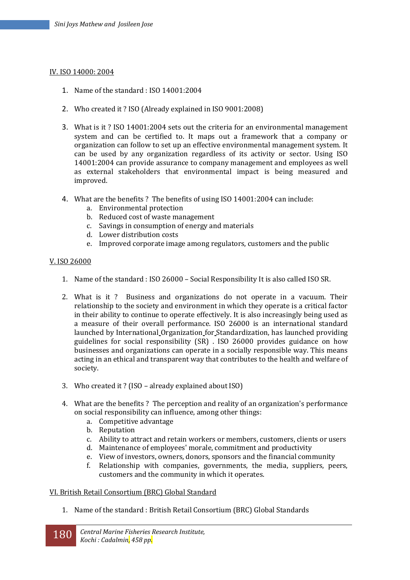#### IV. ISO 14000: 2004

- 1. Name of the standard : ISO 14001:2004
- 2. Who created it ? ISO (Already explained in ISO 9001:2008)
- 3. What is it ? ISO 14001:2004 sets out the criteria for an environmental management system and can be certified to. It maps out a framework that a company or organization can follow to set up an effective environmental management system. It can be used by any organization regardless of its activity or sector. Using ISO 14001:2004 can provide assurance to company management and employees as well as external stakeholders that environmental impact is being measured and improved.
- 4. What are the benefits ? The benefits of using ISO 14001:2004 can include:
	- a. Environmental protection
	- b. Reduced cost of waste management
	- c. Savings in consumption of energy and materials
	- d. Lower distribution costs
	- e. Improved corporate image among regulators, customers and the public

#### V. ISO 26000

- 1. Name of the standard : ISO 26000 Social Responsibility It is also called ISO SR.
- 2. What is it ? Business and organizations do not operate in a vacuum. Their relationship to the society and environment in which they operate is a critical factor in their ability to continue to operate effectively. It is also increasingly being used as a measure of their overall performance. ISO 26000 is an international standard launched by International Organization for Standardization, has launched providing guidelines for social responsibility (SR) . ISO 26000 provides guidance on how businesses and organizations can operate in a socially responsible way. This means acting in an ethical and transparent way that contributes to the health and welfare of society.
- 3. Who created it ? (ISO already explained about ISO)
- 4. What are the benefits ? The perception and reality of an organization's performance on social responsibility can influence, among other things:
	- a. Competitive advantage
	- b. Reputation
	- c. Ability to attract and retain workers or members, customers, clients or users
	- d. Maintenance of employees' morale, commitment and productivity
	- e. View of investors, owners, donors, sponsors and the financial community
	- f. Relationship with companies, governments, the media, suppliers, peers, customers and the community in which it operates.

## VI. British Retail Consortium (BRC) Global Standard

1. Name of the standard : British Retail Consortium (BRC) Global Standards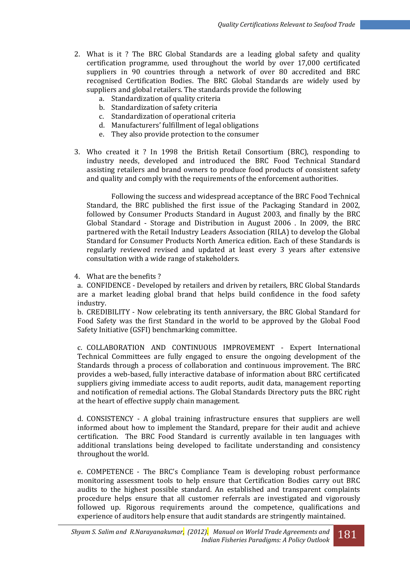- 2. What is it ? The BRC Global Standards are a leading global safety and quality certification programme, used throughout the world by over 17,000 certificated suppliers in 90 countries through a network of over 80 accredited and BRC recognised Certification Bodies. The BRC Global Standards are widely used by suppliers and global retailers. The standards provide the following
	- a. Standardization of quality criteria
	- b. Standardization of safety criteria
	- c. Standardization of operational criteria
	- d. Manufacturers' fulfillment of legal obligations
	- e. They also provide protection to the consumer
- 3. Who created it ? In 1998 the British Retail Consortium (BRC), responding to industry needs, developed and introduced the BRC Food Technical Standard assisting retailers and brand owners to produce food products of consistent safety and quality and comply with the requirements of the enforcement authorities.

Following the success and widespread acceptance of the BRC Food Technical Standard, the BRC published the first issue of the Packaging Standard in 2002, followed by Consumer Products Standard in August 2003, and finally by the BRC Global Standard - Storage and Distribution in August 2006 . In 2009, the BRC partnered with the Retail Industry Leaders Association (RILA) to develop the Global Standard for Consumer Products North America edition. Each of these Standards is regularly reviewed revised and updated at least every 3 years after extensive consultation with a wide range of stakeholders.

4. What are the benefits ?

a. CONFIDENCE - Developed by retailers and driven by retailers, BRC Global Standards are a market leading global brand that helps build confidence in the food safety industry.

b. CREDIBILITY - Now celebrating its tenth anniversary, the BRC Global Standard for Food Safety was the first Standard in the world to be approved by the Global Food Safety Initiative (GSFI) benchmarking committee.

c. COLLABORATION AND CONTINUOUS IMPROVEMENT - Expert International Technical Committees are fully engaged to ensure the ongoing development of the Standards through a process of collaboration and continuous improvement. The BRC provides a web-based, fully interactive database of information about BRC certificated suppliers giving immediate access to audit reports, audit data, management reporting and notification of remedial actions. The Global Standards Directory puts the BRC right at the heart of effective supply chain management.

d. CONSISTENCY - A global training infrastructure ensures that suppliers are well informed about how to implement the Standard, prepare for their audit and achieve certification. The BRC Food Standard is currently available in ten languages with additional translations being developed to facilitate understanding and consistency throughout the world.

e. COMPETENCE - The BRC's Compliance Team is developing robust performance monitoring assessment tools to help ensure that Certification Bodies carry out BRC audits to the highest possible standard. An established and transparent complaints procedure helps ensure that all customer referrals are investigated and vigorously followed up. Rigorous requirements around the competence, qualifications and experience of auditors help ensure that audit standards are stringently maintained.

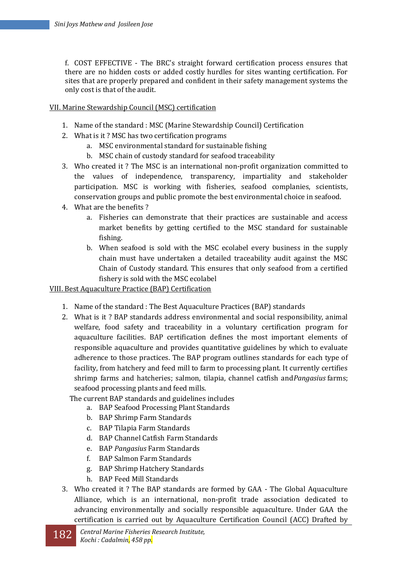f. COST EFFECTIVE - The BRC's straight forward certification process ensures that there are no hidden costs or added costly hurdles for sites wanting certification. For sites that are properly prepared and confident in their safety management systems the only cost is that of the audit.

# VII. Marine Stewardship Council (MSC) certification

- 1. Name of the standard : MSC (Marine Stewardship Council) Certification
- 2. What is it ? MSC has two certification programs
	- a. MSC environmental standard for sustainable fishing
	- b. MSC chain of custody standard for seafood traceability
- 3. Who created it ? The MSC is an international non-profit organization committed to the values of independence, transparency, impartiality and stakeholder participation. MSC is working with fisheries, seafood complanies, scientists, conservation groups and public promote the best environmental choice in seafood.
- 4. What are the benefits ?
	- a. Fisheries can demonstrate that their practices are sustainable and access market benefits by getting certified to the MSC standard for sustainable fishing.
	- b. When seafood is sold with the MSC ecolabel every business in the supply chain must have undertaken a detailed traceability audit against the MSC Chain of Custody standard. This ensures that only seafood from a certified fishery is sold with the MSC ecolabel

## VIII. Best Aquaculture Practice (BAP) Certification

- 1. Name of the standard : The Best Aquaculture Practices (BAP) standards
- 2. What is it ? BAP standards address environmental and social responsibility, animal welfare, food safety and traceability in a voluntary certification program for aquaculture facilities. BAP certification defines the most important elements of responsible aquaculture and provides quantitative guidelines by which to evaluate adherence to those practices. The BAP program outlines standards for each type of facility, from hatchery and feed mill to farm to processing plant. It currently certifies shrimp farms and hatcheries; salmon, tilapia, channel catfish and*Pangasius* farms; seafood processing plants and feed mills.
	- The current BAP standards and guidelines includes
		- a. BAP Seafood Processing Plant Standards
		- b. BAP Shrimp Farm Standards
		- c. BAP Tilapia Farm Standards
		- d. BAP Channel Catfish Farm Standards
		- e. BAP *Pangasius* Farm Standards
		- f. BAP Salmon Farm Standards
		- g. BAP Shrimp Hatchery Standards
		- h. BAP Feed Mill Standards
- 3. Who created it ? The BAP standards are formed by GAA The Global Aquaculture Alliance, which is an international, non-profit trade association dedicated to advancing environmentally and socially responsible aquaculture. Under GAA the certification is carried out by Aquaculture Certification Council (ACC) Drafted by